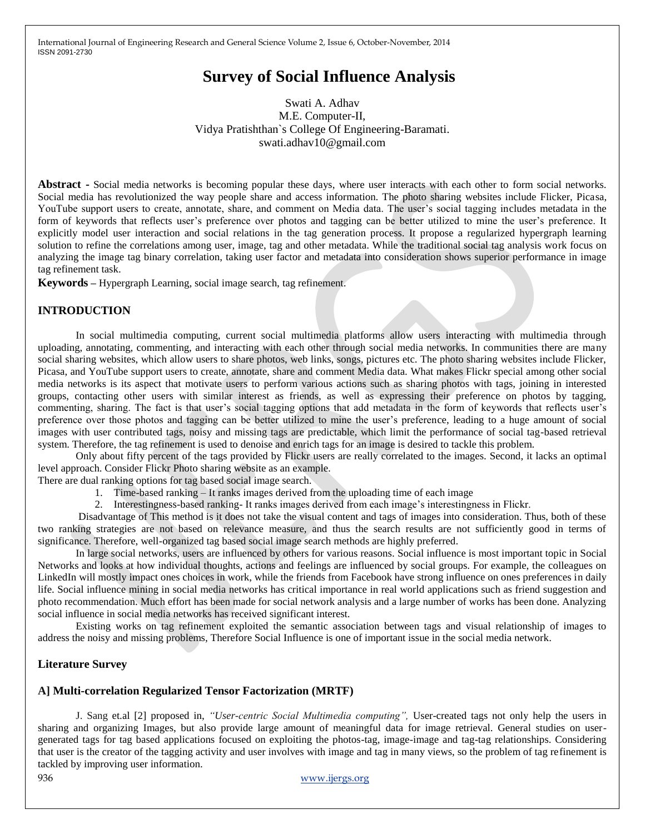# **Survey of Social Influence Analysis**

Swati A. Adhav M.E. Computer-II, Vidya Pratishthan`s College Of Engineering-Baramati. swati.adhav10@gmail.com

**Abstract -** Social media networks is becoming popular these days, where user interacts with each other to form social networks. Social media has revolutionized the way people share and access information. The photo sharing websites include Flicker, Picasa, YouTube support users to create, annotate, share, and comment on Media data. The user's social tagging includes metadata in the form of keywords that reflects user's preference over photos and tagging can be better utilized to mine the user's preference. It explicitly model user interaction and social relations in the tag generation process. It propose a regularized hypergraph learning solution to refine the correlations among user, image, tag and other metadata. While the traditional social tag analysis work focus on analyzing the image tag binary correlation, taking user factor and metadata into consideration shows superior performance in image tag refinement task.

**Keywords –** Hypergraph Learning, social image search, tag refinement.

## **INTRODUCTION**

In social multimedia computing, current social multimedia platforms allow users interacting with multimedia through uploading, annotating, commenting, and interacting with each other through social media networks. In communities there are many social sharing websites, which allow users to share photos, web links, songs, pictures etc. The photo sharing websites include Flicker, Picasa, and YouTube support users to create, annotate, share and comment Media data. What makes Flickr special among other social media networks is its aspect that motivate users to perform various actions such as sharing photos with tags, joining in interested groups, contacting other users with similar interest as friends, as well as expressing their preference on photos by tagging, commenting, sharing. The fact is that user's social tagging options that add metadata in the form of keywords that reflects user's preference over those photos and tagging can be better utilized to mine the user's preference, leading to a huge amount of social images with user contributed tags, noisy and missing tags are predictable, which limit the performance of social tag-based retrieval system. Therefore, the tag refinement is used to denoise and enrich tags for an image is desired to tackle this problem.

Only about fifty percent of the tags provided by Flickr users are really correlated to the images. Second, it lacks an optimal level approach. Consider Flickr Photo sharing website as an example.

There are dual ranking options for tag based social image search.

- 1. Time-based ranking It ranks images derived from the uploading time of each image
- 2. Interestingness-based ranking- It ranks images derived from each image's interestingness in Flickr.

Disadvantage of This method is it does not take the visual content and tags of images into consideration. Thus, both of these two ranking strategies are not based on relevance measure, and thus the search results are not sufficiently good in terms of significance. Therefore, well-organized tag based social image search methods are highly preferred.

In large social networks, users are influenced by others for various reasons. Social influence is most important topic in Social Networks and looks at how individual thoughts, actions and feelings are influenced by social groups. For example, the colleagues on LinkedIn will mostly impact ones choices in work, while the friends from Facebook have strong influence on ones preferences in daily life. Social influence mining in social media networks has critical importance in real world applications such as friend suggestion and photo recommendation. Much effort has been made for social network analysis and a large number of works has been done. Analyzing social influence in social media networks has received significant interest.

Existing works on tag refinement exploited the semantic association between tags and visual relationship of images to address the noisy and missing problems, Therefore Social Influence is one of important issue in the social media network.

### **Literature Survey**

### **A] Multi-correlation Regularized Tensor Factorization (MRTF)**

J. Sang et.al [2] proposed in, *"User-centric Social Multimedia computing",* User-created tags not only help the users in sharing and organizing Images, but also provide large amount of meaningful data for image retrieval. General studies on usergenerated tags for tag based applications focused on exploiting the photos-tag, image-image and tag-tag relationships. Considering that user is the creator of the tagging activity and user involves with image and tag in many views, so the problem of tag refinement is tackled by improving user information.

936 www.ijergs.org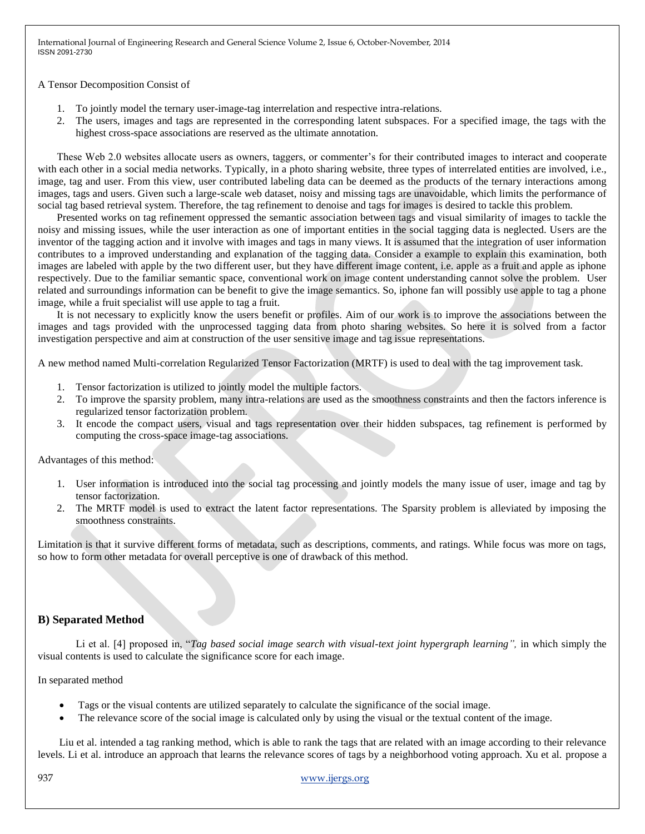A Tensor Decomposition Consist of

- 1. To jointly model the ternary user-image-tag interrelation and respective intra-relations.
- 2. The users, images and tags are represented in the corresponding latent subspaces. For a specified image, the tags with the highest cross-space associations are reserved as the ultimate annotation.

These Web 2.0 websites allocate users as owners, taggers, or commenter's for their contributed images to interact and cooperate with each other in a social media networks. Typically, in a photo sharing website, three types of interrelated entities are involved, i.e., image, tag and user. From this view, user contributed labeling data can be deemed as the products of the ternary interactions among images, tags and users. Given such a large-scale web dataset, noisy and missing tags are unavoidable, which limits the performance of social tag based retrieval system. Therefore, the tag refinement to denoise and tags for images is desired to tackle this problem.

Presented works on tag refinement oppressed the semantic association between tags and visual similarity of images to tackle the noisy and missing issues, while the user interaction as one of important entities in the social tagging data is neglected. Users are the inventor of the tagging action and it involve with images and tags in many views. It is assumed that the integration of user information contributes to a improved understanding and explanation of the tagging data. Consider a example to explain this examination, both images are labeled with apple by the two different user, but they have different image content, i.e. apple as a fruit and apple as iphone respectively. Due to the familiar semantic space, conventional work on image content understanding cannot solve the problem. User related and surroundings information can be benefit to give the image semantics. So, iphone fan will possibly use apple to tag a phone image, while a fruit specialist will use apple to tag a fruit.

It is not necessary to explicitly know the users benefit or profiles. Aim of our work is to improve the associations between the images and tags provided with the unprocessed tagging data from photo sharing websites. So here it is solved from a factor investigation perspective and aim at construction of the user sensitive image and tag issue representations.

A new method named Multi-correlation Regularized Tensor Factorization (MRTF) is used to deal with the tag improvement task.

- 1. Tensor factorization is utilized to jointly model the multiple factors.
- 2. To improve the sparsity problem, many intra-relations are used as the smoothness constraints and then the factors inference is regularized tensor factorization problem.
- 3. It encode the compact users, visual and tags representation over their hidden subspaces, tag refinement is performed by computing the cross-space image-tag associations.

Advantages of this method:

- 1. User information is introduced into the social tag processing and jointly models the many issue of user, image and tag by tensor factorization.
- 2. The MRTF model is used to extract the latent factor representations. The Sparsity problem is alleviated by imposing the smoothness constraints.

Limitation is that it survive different forms of metadata, such as descriptions, comments, and ratings. While focus was more on tags, so how to form other metadata for overall perceptive is one of drawback of this method.

## **B) Separated Method**

Li et al. [4] proposed in, "*Tag based social image search with visual-text joint hypergraph learning",* in which simply the visual contents is used to calculate the significance score for each image.

### In separated method

- Tags or the visual contents are utilized separately to calculate the significance of the social image.
- The relevance score of the social image is calculated only by using the visual or the textual content of the image.

Liu et al. intended a tag ranking method, which is able to rank the tags that are related with an image according to their relevance levels. Li et al. introduce an approach that learns the relevance scores of tags by a neighborhood voting approach. Xu et al. propose a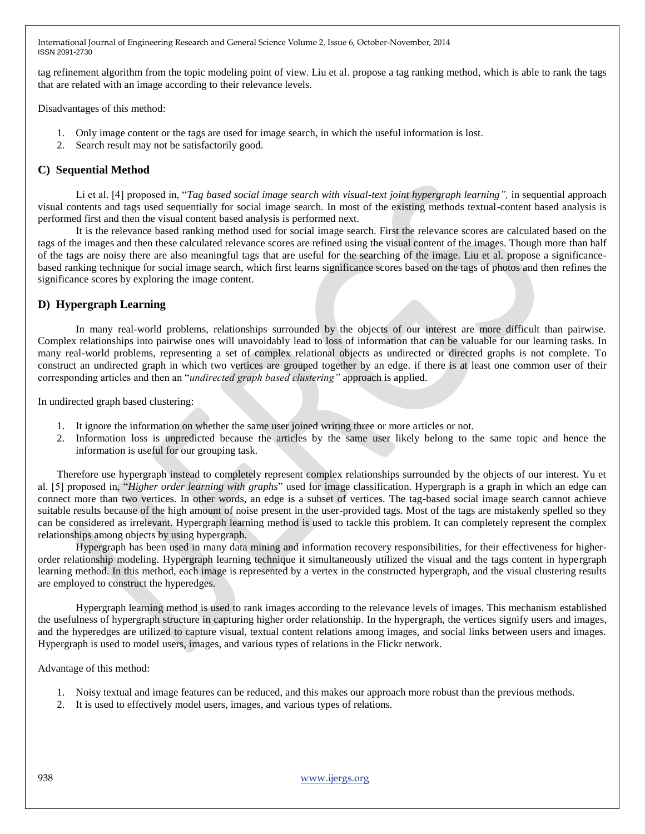tag refinement algorithm from the topic modeling point of view. Liu et al. propose a tag ranking method, which is able to rank the tags that are related with an image according to their relevance levels.

Disadvantages of this method:

- 1. Only image content or the tags are used for image search, in which the useful information is lost.
- 2. Search result may not be satisfactorily good.

## **C) Sequential Method**

Li et al. [4] proposed in, "*Tag based social image search with visual-text joint hypergraph learning*", in sequential approach visual contents and tags used sequentially for social image search. In most of the existing methods textual-content based analysis is performed first and then the visual content based analysis is performed next.

It is the relevance based ranking method used for social image search. First the relevance scores are calculated based on the tags of the images and then these calculated relevance scores are refined using the visual content of the images. Though more than half of the tags are noisy there are also meaningful tags that are useful for the searching of the image. Liu et al. propose a significancebased ranking technique for social image search, which first learns significance scores based on the tags of photos and then refines the significance scores by exploring the image content.

# **D) Hypergraph Learning**

In many real-world problems, relationships surrounded by the objects of our interest are more difficult than pairwise. Complex relationships into pairwise ones will unavoidably lead to loss of information that can be valuable for our learning tasks. In many real-world problems, representing a set of complex relational objects as undirected or directed graphs is not complete. To construct an undirected graph in which two vertices are grouped together by an edge. if there is at least one common user of their corresponding articles and then an "*undirected graph based clustering"* approach is applied.

In undirected graph based clustering:

- 1. It ignore the information on whether the same user joined writing three or more articles or not.
- 2. Information loss is unpredicted because the articles by the same user likely belong to the same topic and hence the information is useful for our grouping task.

Therefore use hypergraph instead to completely represent complex relationships surrounded by the objects of our interest. Yu et al. [5] proposed in, "*Higher order learning with graphs*" used for image classification. Hypergraph is a graph in which an edge can connect more than two vertices. In other words, an edge is a subset of vertices. The tag-based social image search cannot achieve suitable results because of the high amount of noise present in the user-provided tags. Most of the tags are mistakenly spelled so they can be considered as irrelevant. Hypergraph learning method is used to tackle this problem. It can completely represent the complex relationships among objects by using hypergraph.

Hypergraph has been used in many data mining and information recovery responsibilities, for their effectiveness for higherorder relationship modeling. Hypergraph learning technique it simultaneously utilized the visual and the tags content in hypergraph learning method. In this method, each image is represented by a vertex in the constructed hypergraph, and the visual clustering results are employed to construct the hyperedges.

Hypergraph learning method is used to rank images according to the relevance levels of images. This mechanism established the usefulness of hypergraph structure in capturing higher order relationship. In the hypergraph, the vertices signify users and images, and the hyperedges are utilized to capture visual, textual content relations among images, and social links between users and images. Hypergraph is used to model users, images, and various types of relations in the Flickr network.

Advantage of this method:

- 1. Noisy textual and image features can be reduced, and this makes our approach more robust than the previous methods.
- 2. It is used to effectively model users, images, and various types of relations.